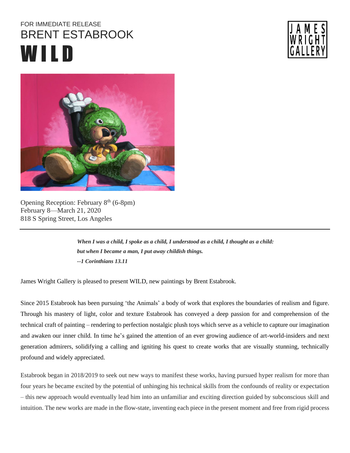## FOR IMMEDIATE RELEASE BRENT ESTABROOK W IL D





Opening Reception: February 8<sup>th</sup> (6-8pm) February 8—March 21, 2020 818 S Spring Street, Los Angeles

> *When I was a child, I spoke as a child, I understood as a child, I thought as a child: but when I became a man, I put away childish things. --1 Corinthians 13.11*

James Wright Gallery is pleased to present WILD, new paintings by Brent Estabrook.

Since 2015 Estabrook has been pursuing 'the Animals' a body of work that explores the boundaries of realism and figure. Through his mastery of light, color and texture Estabrook has conveyed a deep passion for and comprehension of the technical craft of painting – rendering to perfection nostalgic plush toys which serve as a vehicle to capture our imagination and awaken our inner child. In time he's gained the attention of an ever growing audience of art-world-insiders and next generation admirers, solidifying a calling and igniting his quest to create works that are visually stunning, technically profound and widely appreciated.

Estabrook began in 2018/2019 to seek out new ways to manifest these works, having pursued hyper realism for more than four years he became excited by the potential of unhinging his technical skills from the confounds of reality or expectation – this new approach would eventually lead him into an unfamiliar and exciting direction guided by subconscious skill and intuition. The new works are made in the flow-state, inventing each piece in the present moment and free from rigid process